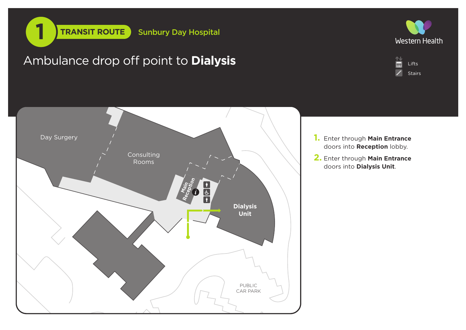









- **1.** Enter through **Main Entrance** doors into **Reception** lobby.
- **2.** Enter through **Main Entrance** doors into **Dialysis Unit**.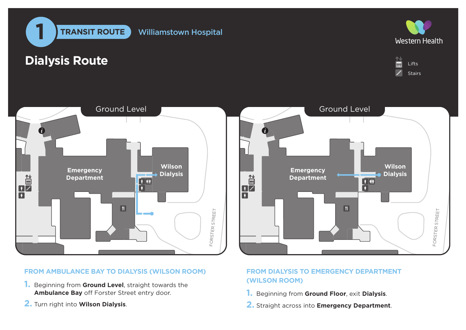

## **Dialysis Route**

GARDEN AREA







## **FROM AMBULANCE BAY TO DIALYSIS (WILSON ROOM)**

- **1. Beginning from Ground Level,<br>
<b>2.** Turn right into **Wilson Dialysis**. **1.** Beginning from **Ground Level**, straight towards the **Ambulance Bay** off Forster Street entry door.
- 



## **FROM DIALYSIS TO EMERGENCY DEPARTMENT (WILSON ROOM)**

- **1.** Beginning from **Ground Floor**, exit **Dialysis**.
- **2.** Straight across into **Emergency Department**.